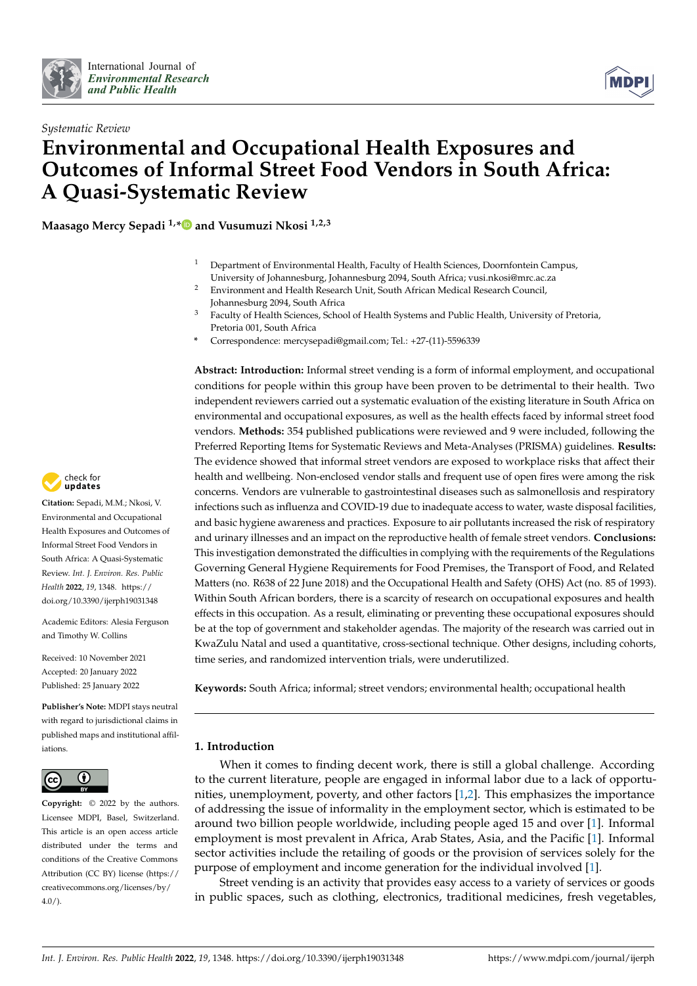



# *Systematic Review* **Environmental and Occupational Health Exposures and Outcomes of Informal Street Food Vendors in South Africa: A Quasi-Systematic Review**

**Maasago Mercy Sepadi 1,[\\*](https://orcid.org/0000-0002-7236-9160) and Vusumuzi Nkosi 1,2,3**

- <sup>1</sup> Department of Environmental Health, Faculty of Health Sciences, Doornfontein Campus, University of Johannesburg, Johannesburg 2094, South Africa; vusi.nkosi@mrc.ac.za
- <sup>2</sup> Environment and Health Research Unit, South African Medical Research Council, Johannesburg 2094, South Africa
- <sup>3</sup> Faculty of Health Sciences, School of Health Systems and Public Health, University of Pretoria, Pretoria 001, South Africa
- **\*** Correspondence: mercysepadi@gmail.com; Tel.: +27-(11)-5596339

**Abstract: Introduction:** Informal street vending is a form of informal employment, and occupational conditions for people within this group have been proven to be detrimental to their health. Two independent reviewers carried out a systematic evaluation of the existing literature in South Africa on environmental and occupational exposures, as well as the health effects faced by informal street food vendors. **Methods:** 354 published publications were reviewed and 9 were included, following the Preferred Reporting Items for Systematic Reviews and Meta-Analyses (PRISMA) guidelines. **Results:** The evidence showed that informal street vendors are exposed to workplace risks that affect their health and wellbeing. Non-enclosed vendor stalls and frequent use of open fires were among the risk concerns. Vendors are vulnerable to gastrointestinal diseases such as salmonellosis and respiratory infections such as influenza and COVID-19 due to inadequate access to water, waste disposal facilities, and basic hygiene awareness and practices. Exposure to air pollutants increased the risk of respiratory and urinary illnesses and an impact on the reproductive health of female street vendors. **Conclusions:** This investigation demonstrated the difficulties in complying with the requirements of the Regulations Governing General Hygiene Requirements for Food Premises, the Transport of Food, and Related Matters (no. R638 of 22 June 2018) and the Occupational Health and Safety (OHS) Act (no. 85 of 1993). Within South African borders, there is a scarcity of research on occupational exposures and health effects in this occupation. As a result, eliminating or preventing these occupational exposures should be at the top of government and stakeholder agendas. The majority of the research was carried out in KwaZulu Natal and used a quantitative, cross-sectional technique. Other designs, including cohorts, time series, and randomized intervention trials, were underutilized.

**Keywords:** South Africa; informal; street vendors; environmental health; occupational health

# **1. Introduction**

When it comes to finding decent work, there is still a global challenge. According to the current literature, people are engaged in informal labor due to a lack of opportunities, unemployment, poverty, and other factors [\[1,](#page-8-0)[2\]](#page-8-1). This emphasizes the importance of addressing the issue of informality in the employment sector, which is estimated to be around two billion people worldwide, including people aged 15 and over [\[1\]](#page-8-0). Informal employment is most prevalent in Africa, Arab States, Asia, and the Pacific [\[1\]](#page-8-0). Informal sector activities include the retailing of goods or the provision of services solely for the purpose of employment and income generation for the individual involved [\[1\]](#page-8-0).

Street vending is an activity that provides easy access to a variety of services or goods in public spaces, such as clothing, electronics, traditional medicines, fresh vegetables,



**Citation:** Sepadi, M.M.; Nkosi, V. Environmental and Occupational Health Exposures and Outcomes of Informal Street Food Vendors in South Africa: A Quasi-Systematic Review. *Int. J. Environ. Res. Public Health* **2022**, *19*, 1348. [https://](https://doi.org/10.3390/ijerph19031348) [doi.org/10.3390/ijerph19031348](https://doi.org/10.3390/ijerph19031348)

Academic Editors: Alesia Ferguson and Timothy W. Collins

Received: 10 November 2021 Accepted: 20 January 2022 Published: 25 January 2022

**Publisher's Note:** MDPI stays neutral with regard to jurisdictional claims in published maps and institutional affiliations.



**Copyright:** © 2022 by the authors. Licensee MDPI, Basel, Switzerland. This article is an open access article distributed under the terms and conditions of the Creative Commons Attribution (CC BY) license [\(https://](https://creativecommons.org/licenses/by/4.0/) [creativecommons.org/licenses/by/](https://creativecommons.org/licenses/by/4.0/)  $4.0/$ ).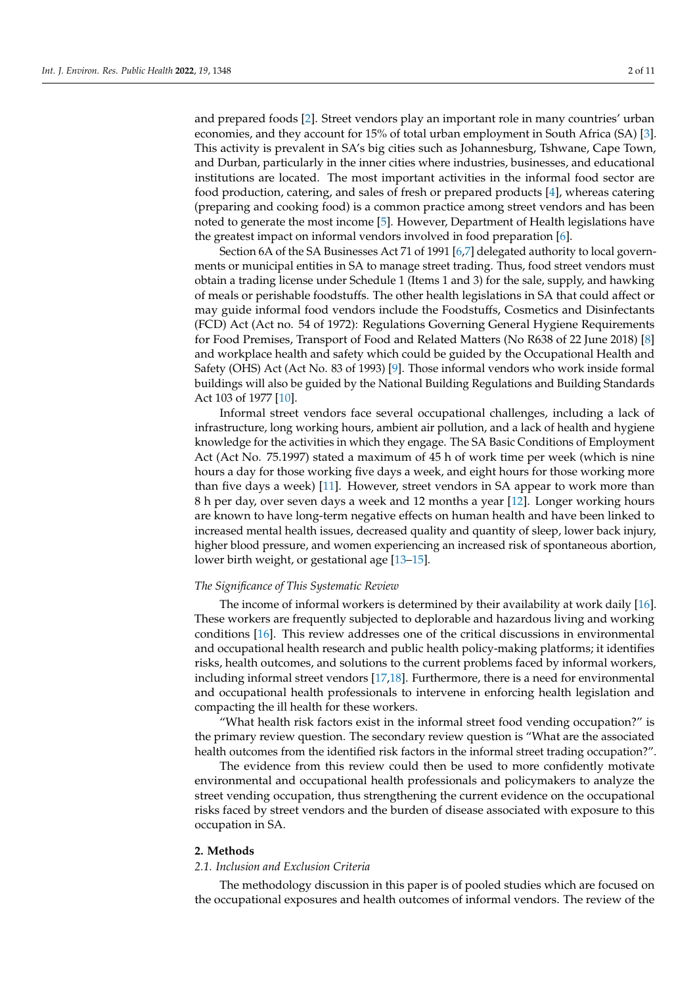and prepared foods [\[2\]](#page-8-1). Street vendors play an important role in many countries' urban economies, and they account for 15% of total urban employment in South Africa (SA) [\[3\]](#page-8-2). This activity is prevalent in SA's big cities such as Johannesburg, Tshwane, Cape Town, and Durban, particularly in the inner cities where industries, businesses, and educational institutions are located. The most important activities in the informal food sector are food production, catering, and sales of fresh or prepared products [\[4\]](#page-8-3), whereas catering (preparing and cooking food) is a common practice among street vendors and has been noted to generate the most income [\[5\]](#page-8-4). However, Department of Health legislations have the greatest impact on informal vendors involved in food preparation [\[6\]](#page-8-5).

Section 6A of the SA Businesses Act 71 of 1991 [\[6,](#page-8-5)[7\]](#page-8-6) delegated authority to local governments or municipal entities in SA to manage street trading. Thus, food street vendors must obtain a trading license under Schedule 1 (Items 1 and 3) for the sale, supply, and hawking of meals or perishable foodstuffs. The other health legislations in SA that could affect or may guide informal food vendors include the Foodstuffs, Cosmetics and Disinfectants (FCD) Act (Act no. 54 of 1972): Regulations Governing General Hygiene Requirements for Food Premises, Transport of Food and Related Matters (No R638 of 22 June 2018) [\[8\]](#page-8-7) and workplace health and safety which could be guided by the Occupational Health and Safety (OHS) Act (Act No. 83 of 1993) [\[9\]](#page-8-8). Those informal vendors who work inside formal buildings will also be guided by the National Building Regulations and Building Standards Act 103 of 1977 [\[10\]](#page-8-9).

Informal street vendors face several occupational challenges, including a lack of infrastructure, long working hours, ambient air pollution, and a lack of health and hygiene knowledge for the activities in which they engage. The SA Basic Conditions of Employment Act (Act No. 75.1997) stated a maximum of 45 h of work time per week (which is nine hours a day for those working five days a week, and eight hours for those working more than five days a week) [\[11\]](#page-8-10). However, street vendors in SA appear to work more than 8 h per day, over seven days a week and 12 months a year [\[12\]](#page-8-11). Longer working hours are known to have long-term negative effects on human health and have been linked to increased mental health issues, decreased quality and quantity of sleep, lower back injury, higher blood pressure, and women experiencing an increased risk of spontaneous abortion, lower birth weight, or gestational age [\[13](#page-8-12)[–15\]](#page-8-13).

#### *The Significance of This Systematic Review*

The income of informal workers is determined by their availability at work daily [\[16\]](#page-8-14). These workers are frequently subjected to deplorable and hazardous living and working conditions [\[16\]](#page-8-14). This review addresses one of the critical discussions in environmental and occupational health research and public health policy-making platforms; it identifies risks, health outcomes, and solutions to the current problems faced by informal workers, including informal street vendors [\[17,](#page-8-15)[18\]](#page-8-16). Furthermore, there is a need for environmental and occupational health professionals to intervene in enforcing health legislation and compacting the ill health for these workers.

"What health risk factors exist in the informal street food vending occupation?" is the primary review question. The secondary review question is "What are the associated health outcomes from the identified risk factors in the informal street trading occupation?".

The evidence from this review could then be used to more confidently motivate environmental and occupational health professionals and policymakers to analyze the street vending occupation, thus strengthening the current evidence on the occupational risks faced by street vendors and the burden of disease associated with exposure to this occupation in SA.

## **2. Methods**

# *2.1. Inclusion and Exclusion Criteria*

The methodology discussion in this paper is of pooled studies which are focused on the occupational exposures and health outcomes of informal vendors. The review of the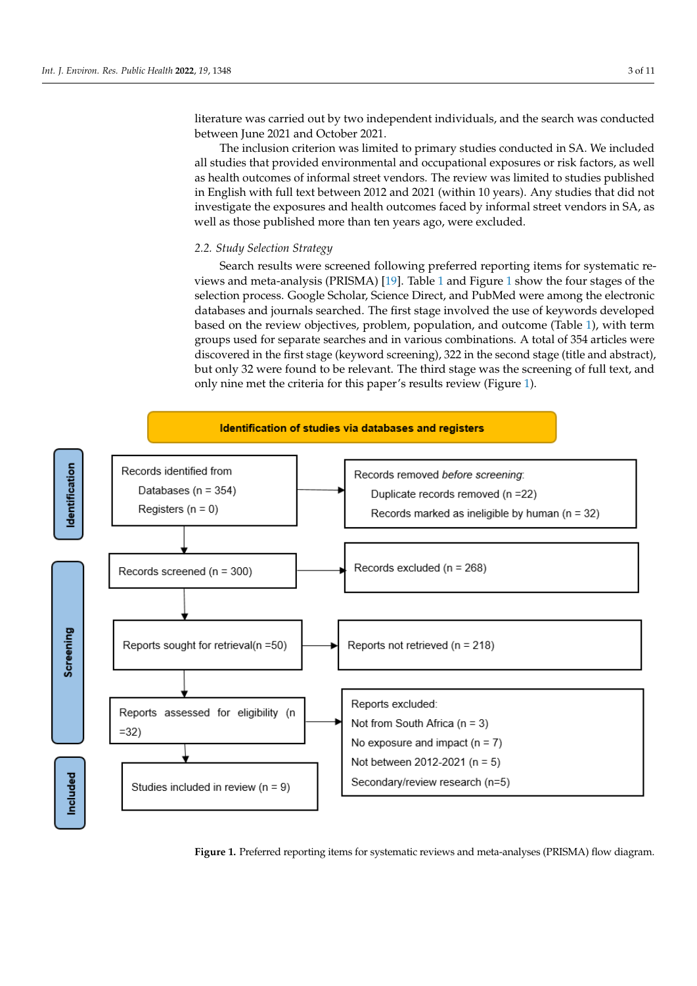literature was carried out by two independent individuals, and the search was conducted between June 2021 and October 2021.

The inclusion criterion was limited to primary studies conducted in SA. We included all studies that provided environmental and occupational exposures or risk factors, as well as health outcomes of informal street vendors. The review was limited to studies published in English with full text between 2012 and 2021 (within 10 years). Any studies that did not investigate the exposures and health outcomes faced by informal street vendors in SA, as well as those published more than ten years ago, were excluded.

## <span id="page-2-0"></span>*2.2. Study Selection Strategy*

Search results were screened following preferred reporting items for systematic reviews and meta-analysis (PRISMA) [\[19\]](#page-8-17). Table [1](#page-3-0) and Figure [1](#page-2-0) show the four stages of the selection process. Google Scholar, Science Direct, and PubMed were among the electronic databases and journals searched. The first stage involved the use of keywords developed based on the review objectives, problem, population, and outcome (Table [1\)](#page-3-0), with term groups used for separate searches and in various combinations. A total of 354 articles were discovered in the first stage (keyword screening), 322 in the second stage (title and abstract), but only 32 were found to be relevant. The third stage was the screening of full text, and only nine met the criteria for this paper's results review (Figure [1\)](#page-2-0).



**Figure 1.** Preferred reporting items for systematic reviews and meta-analyses (PRISMA) flow dia-**Figure 1.** Preferred reporting items for systematic reviews and meta-analyses (PRISMA) flow diagram.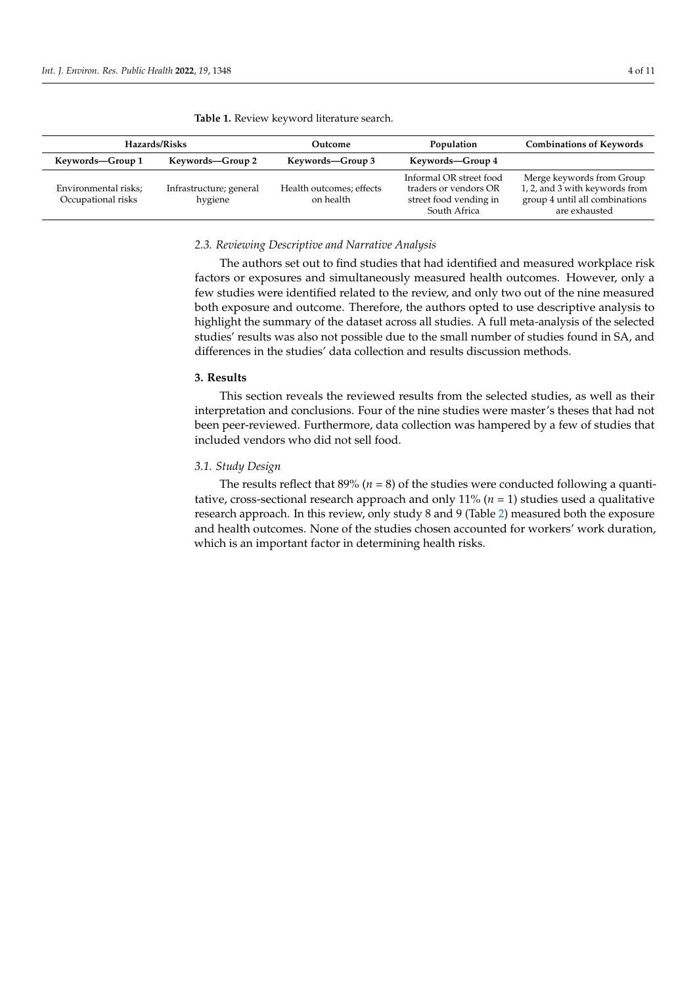Environmental risks; Occupational risks

| Hazards/Risks    |                  | Outcome          | Population       | <b>Combinations of Keywords</b> |
|------------------|------------------|------------------|------------------|---------------------------------|
| Keywords-Group 1 | Keywords—Group 2 | Keywords—Group 3 | Keywords—Group 4 |                                 |

<span id="page-3-0"></span>**Table 1.** Review keyword literature search.

## *2.3. Reviewing Descriptive and Narrative Analysis*

Health outcomes; effects on health

The authors set out to find studies that had identified and measured workplace risk factors or exposures and simultaneously measured health outcomes. However, only a few studies were identified related to the review, and only two out of the nine measured both exposure and outcome. Therefore, the authors opted to use descriptive analysis to highlight the summary of the dataset across all studies. A full meta-analysis of the selected studies' results was also not possible due to the small number of studies found in SA, and differences in the studies' data collection and results discussion methods.

Informal OR street food traders or vendors OR street food vending in South Africa

# **3. Results**

Infrastructure; general hygiene

> This section reveals the reviewed results from the selected studies, as well as their interpretation and conclusions. Four of the nine studies were master's theses that had not been peer-reviewed. Furthermore, data collection was hampered by a few of studies that included vendors who did not sell food.

# *3.1. Study Design*

The results reflect that 89% (*n* = 8) of the studies were conducted following a quantitative, cross-sectional research approach and only  $11\%$  ( $n = 1$ ) studies used a qualitative research approach. In this review, only study 8 and 9 (Table [2\)](#page-4-0) measured both the exposure and health outcomes. None of the studies chosen accounted for workers' work duration, which is an important factor in determining health risks.

Merge keywords from Group 1, 2, and 3 with keywords from group 4 until all combinations are exhausted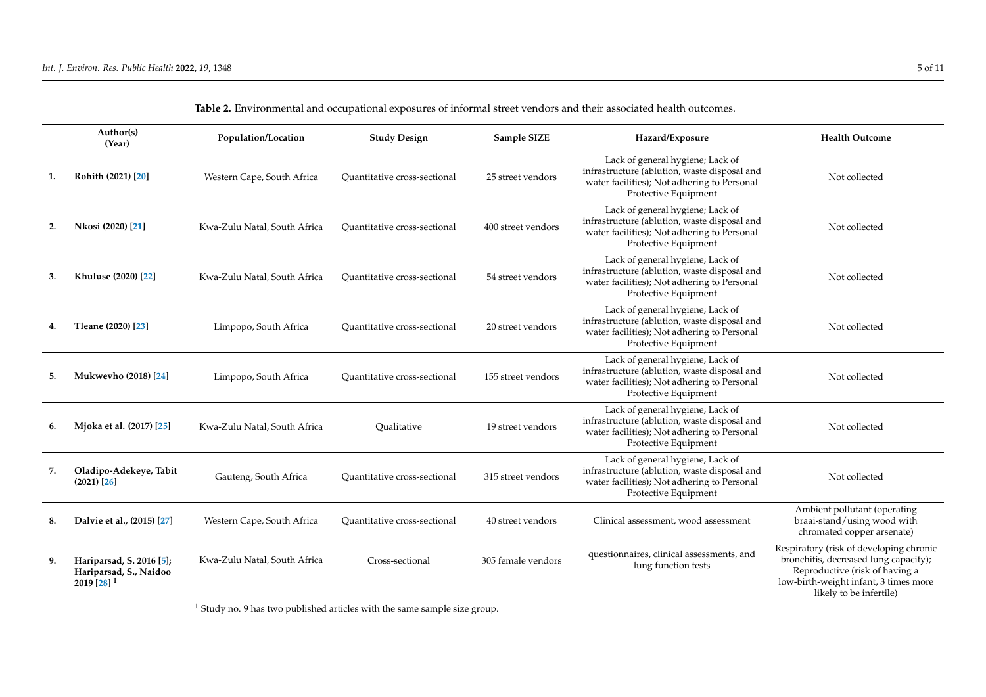<span id="page-4-0"></span>

|    | Author(s)<br>(Year)                                                  | Population/Location          | <b>Study Design</b>                 | Sample SIZE        | Hazard/Exposure                                                                                                                                         | <b>Health Outcome</b>                                                                                                                                                                  |
|----|----------------------------------------------------------------------|------------------------------|-------------------------------------|--------------------|---------------------------------------------------------------------------------------------------------------------------------------------------------|----------------------------------------------------------------------------------------------------------------------------------------------------------------------------------------|
| 1. | Rohith (2021) [20]                                                   | Western Cape, South Africa   | Quantitative cross-sectional        | 25 street vendors  | Lack of general hygiene; Lack of<br>infrastructure (ablution, waste disposal and<br>water facilities); Not adhering to Personal<br>Protective Equipment | Not collected                                                                                                                                                                          |
| 2. | Nkosi (2020) [21]                                                    | Kwa-Zulu Natal, South Africa | Quantitative cross-sectional        | 400 street vendors | Lack of general hygiene; Lack of<br>infrastructure (ablution, waste disposal and<br>water facilities); Not adhering to Personal<br>Protective Equipment | Not collected                                                                                                                                                                          |
| 3. | Khuluse (2020) [22]                                                  | Kwa-Zulu Natal, South Africa | Quantitative cross-sectional        | 54 street vendors  | Lack of general hygiene; Lack of<br>infrastructure (ablution, waste disposal and<br>water facilities); Not adhering to Personal<br>Protective Equipment | Not collected                                                                                                                                                                          |
|    | Tleane (2020) [23]                                                   | Limpopo, South Africa        | Quantitative cross-sectional        | 20 street vendors  | Lack of general hygiene; Lack of<br>infrastructure (ablution, waste disposal and<br>water facilities); Not adhering to Personal<br>Protective Equipment | Not collected                                                                                                                                                                          |
| 5. | <b>Mukwevho (2018)</b> [24]                                          | Limpopo, South Africa        | Quantitative cross-sectional        | 155 street vendors | Lack of general hygiene; Lack of<br>infrastructure (ablution, waste disposal and<br>water facilities); Not adhering to Personal<br>Protective Equipment | Not collected                                                                                                                                                                          |
| 6. | Mjoka et al. (2017) [25]                                             | Kwa-Zulu Natal, South Africa | Oualitative                         | 19 street vendors  | Lack of general hygiene; Lack of<br>infrastructure (ablution, waste disposal and<br>water facilities); Not adhering to Personal<br>Protective Equipment | Not collected                                                                                                                                                                          |
| 7. | Oladipo-Adekeye, Tabit<br>$(2021)$ [26]                              | Gauteng, South Africa        | Quantitative cross-sectional        | 315 street vendors | Lack of general hygiene; Lack of<br>infrastructure (ablution, waste disposal and<br>water facilities); Not adhering to Personal<br>Protective Equipment | Not collected                                                                                                                                                                          |
| 8. | Dalvie et al., (2015) [27]                                           | Western Cape, South Africa   | <b>Ouantitative cross-sectional</b> | 40 street vendors  | Clinical assessment, wood assessment                                                                                                                    | Ambient pollutant (operating<br>braai-stand/using wood with<br>chromated copper arsenate)                                                                                              |
| 9. | Hariparsad, S. 2016 [5];<br>Hariparsad, S., Naidoo<br>2019 [28] $^1$ | Kwa-Zulu Natal, South Africa | Cross-sectional                     | 305 female vendors | questionnaires, clinical assessments, and<br>lung function tests                                                                                        | Respiratory (risk of developing chronic<br>bronchitis, decreased lung capacity);<br>Reproductive (risk of having a<br>low-birth-weight infant, 3 times more<br>likely to be infertile) |

**Table 2.** Environmental and occupational exposures of informal street vendors and their associated health outcomes.

<sup>1</sup> Study no. 9 has two published articles with the same sample size group.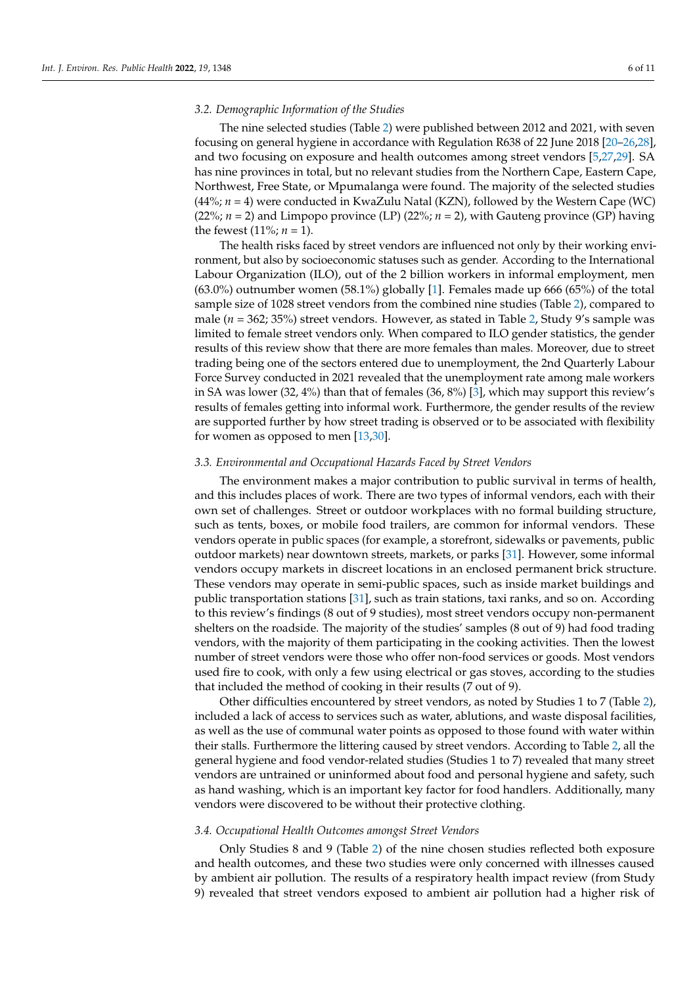#### *3.2. Demographic Information of the Studies*

The nine selected studies (Table [2\)](#page-4-0) were published between 2012 and 2021, with seven focusing on general hygiene in accordance with Regulation R638 of 22 June 2018 [\[20](#page-9-9)[–26](#page-9-10)[,28\]](#page-9-11), and two focusing on exposure and health outcomes among street vendors [\[5](#page-8-4)[,27,](#page-9-12)[29\]](#page-9-13). SA has nine provinces in total, but no relevant studies from the Northern Cape, Eastern Cape, Northwest, Free State, or Mpumalanga were found. The majority of the selected studies (44%; *n* = 4) were conducted in KwaZulu Natal (KZN), followed by the Western Cape (WC)  $(22\%)$ ; *n* = 2) and Limpopo province (LP)  $(22\%)$ ; *n* = 2), with Gauteng province (GP) having the fewest  $(11\%; n = 1)$ .

The health risks faced by street vendors are influenced not only by their working environment, but also by socioeconomic statuses such as gender. According to the International Labour Organization (ILO), out of the 2 billion workers in informal employment, men (63.0%) outnumber women (58.1%) globally [\[1\]](#page-8-0). Females made up 666 (65%) of the total sample size of 1028 street vendors from the combined nine studies (Table [2\)](#page-4-0), compared to male (*n* = 362; 35%) street vendors. However, as stated in Table [2,](#page-4-0) Study 9's sample was limited to female street vendors only. When compared to ILO gender statistics, the gender results of this review show that there are more females than males. Moreover, due to street trading being one of the sectors entered due to unemployment, the 2nd Quarterly Labour Force Survey conducted in 2021 revealed that the unemployment rate among male workers in SA was lower (32, 4%) than that of females (36, 8%) [\[3\]](#page-8-2), which may support this review's results of females getting into informal work. Furthermore, the gender results of the review are supported further by how street trading is observed or to be associated with flexibility for women as opposed to men [\[13,](#page-8-12)[30\]](#page-9-14).

#### *3.3. Environmental and Occupational Hazards Faced by Street Vendors*

The environment makes a major contribution to public survival in terms of health, and this includes places of work. There are two types of informal vendors, each with their own set of challenges. Street or outdoor workplaces with no formal building structure, such as tents, boxes, or mobile food trailers, are common for informal vendors. These vendors operate in public spaces (for example, a storefront, sidewalks or pavements, public outdoor markets) near downtown streets, markets, or parks [\[31\]](#page-9-15). However, some informal vendors occupy markets in discreet locations in an enclosed permanent brick structure. These vendors may operate in semi-public spaces, such as inside market buildings and public transportation stations [\[31\]](#page-9-15), such as train stations, taxi ranks, and so on. According to this review's findings (8 out of 9 studies), most street vendors occupy non-permanent shelters on the roadside. The majority of the studies' samples (8 out of 9) had food trading vendors, with the majority of them participating in the cooking activities. Then the lowest number of street vendors were those who offer non-food services or goods. Most vendors used fire to cook, with only a few using electrical or gas stoves, according to the studies that included the method of cooking in their results (7 out of 9).

Other difficulties encountered by street vendors, as noted by Studies 1 to 7 (Table [2\)](#page-4-0), included a lack of access to services such as water, ablutions, and waste disposal facilities, as well as the use of communal water points as opposed to those found with water within their stalls. Furthermore the littering caused by street vendors. According to Table [2,](#page-4-0) all the general hygiene and food vendor-related studies (Studies 1 to 7) revealed that many street vendors are untrained or uninformed about food and personal hygiene and safety, such as hand washing, which is an important key factor for food handlers. Additionally, many vendors were discovered to be without their protective clothing.

## *3.4. Occupational Health Outcomes amongst Street Vendors*

Only Studies 8 and 9 (Table [2\)](#page-4-0) of the nine chosen studies reflected both exposure and health outcomes, and these two studies were only concerned with illnesses caused by ambient air pollution. The results of a respiratory health impact review (from Study 9) revealed that street vendors exposed to ambient air pollution had a higher risk of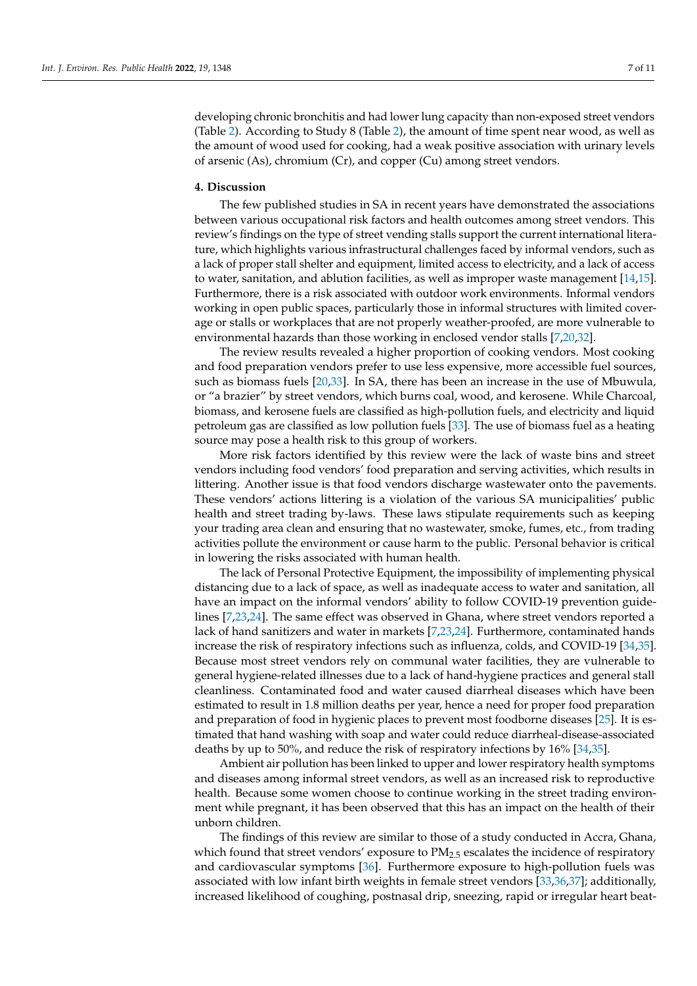developing chronic bronchitis and had lower lung capacity than non-exposed street vendors (Table [2\)](#page-4-0). According to Study 8 (Table [2\)](#page-4-0), the amount of time spent near wood, as well as the amount of wood used for cooking, had a weak positive association with urinary levels of arsenic (As), chromium (Cr), and copper (Cu) among street vendors.

## **4. Discussion**

The few published studies in SA in recent years have demonstrated the associations between various occupational risk factors and health outcomes among street vendors. This review's findings on the type of street vending stalls support the current international literature, which highlights various infrastructural challenges faced by informal vendors, such as a lack of proper stall shelter and equipment, limited access to electricity, and a lack of access to water, sanitation, and ablution facilities, as well as improper waste management [\[14](#page-8-19)[,15\]](#page-8-13). Furthermore, there is a risk associated with outdoor work environments. Informal vendors working in open public spaces, particularly those in informal structures with limited coverage or stalls or workplaces that are not properly weather-proofed, are more vulnerable to environmental hazards than those working in enclosed vendor stalls [\[7,](#page-8-6)[20](#page-9-9)[,32\]](#page-9-16).

The review results revealed a higher proportion of cooking vendors. Most cooking and food preparation vendors prefer to use less expensive, more accessible fuel sources, such as biomass fuels [\[20,](#page-9-9)[33\]](#page-9-17). In SA, there has been an increase in the use of Mbuwula, or "a brazier" by street vendors, which burns coal, wood, and kerosene. While Charcoal, biomass, and kerosene fuels are classified as high-pollution fuels, and electricity and liquid petroleum gas are classified as low pollution fuels [\[33\]](#page-9-17). The use of biomass fuel as a heating source may pose a health risk to this group of workers.

More risk factors identified by this review were the lack of waste bins and street vendors including food vendors' food preparation and serving activities, which results in littering. Another issue is that food vendors discharge wastewater onto the pavements. These vendors' actions littering is a violation of the various SA municipalities' public health and street trading by-laws. These laws stipulate requirements such as keeping your trading area clean and ensuring that no wastewater, smoke, fumes, etc., from trading activities pollute the environment or cause harm to the public. Personal behavior is critical in lowering the risks associated with human health.

The lack of Personal Protective Equipment, the impossibility of implementing physical distancing due to a lack of space, as well as inadequate access to water and sanitation, all have an impact on the informal vendors' ability to follow COVID-19 prevention guidelines [\[7](#page-8-6)[,23](#page-9-18)[,24\]](#page-9-19). The same effect was observed in Ghana, where street vendors reported a lack of hand sanitizers and water in markets [\[7](#page-8-6)[,23](#page-9-18)[,24\]](#page-9-19). Furthermore, contaminated hands increase the risk of respiratory infections such as influenza, colds, and COVID-19 [\[34,](#page-9-20)[35\]](#page-9-21). Because most street vendors rely on communal water facilities, they are vulnerable to general hygiene-related illnesses due to a lack of hand-hygiene practices and general stall cleanliness. Contaminated food and water caused diarrheal diseases which have been estimated to result in 1.8 million deaths per year, hence a need for proper food preparation and preparation of food in hygienic places to prevent most foodborne diseases [\[25\]](#page-9-22). It is estimated that hand washing with soap and water could reduce diarrheal-disease-associated deaths by up to 50%, and reduce the risk of respiratory infections by 16% [\[34](#page-9-20)[,35\]](#page-9-21).

Ambient air pollution has been linked to upper and lower respiratory health symptoms and diseases among informal street vendors, as well as an increased risk to reproductive health. Because some women choose to continue working in the street trading environment while pregnant, it has been observed that this has an impact on the health of their unborn children.

The findings of this review are similar to those of a study conducted in Accra, Ghana, which found that street vendors' exposure to  $PM_{2.5}$  escalates the incidence of respiratory and cardiovascular symptoms [\[36\]](#page-9-23). Furthermore exposure to high-pollution fuels was associated with low infant birth weights in female street vendors [\[33,](#page-9-17)[36,](#page-9-23)[37\]](#page-9-24); additionally, increased likelihood of coughing, postnasal drip, sneezing, rapid or irregular heart beat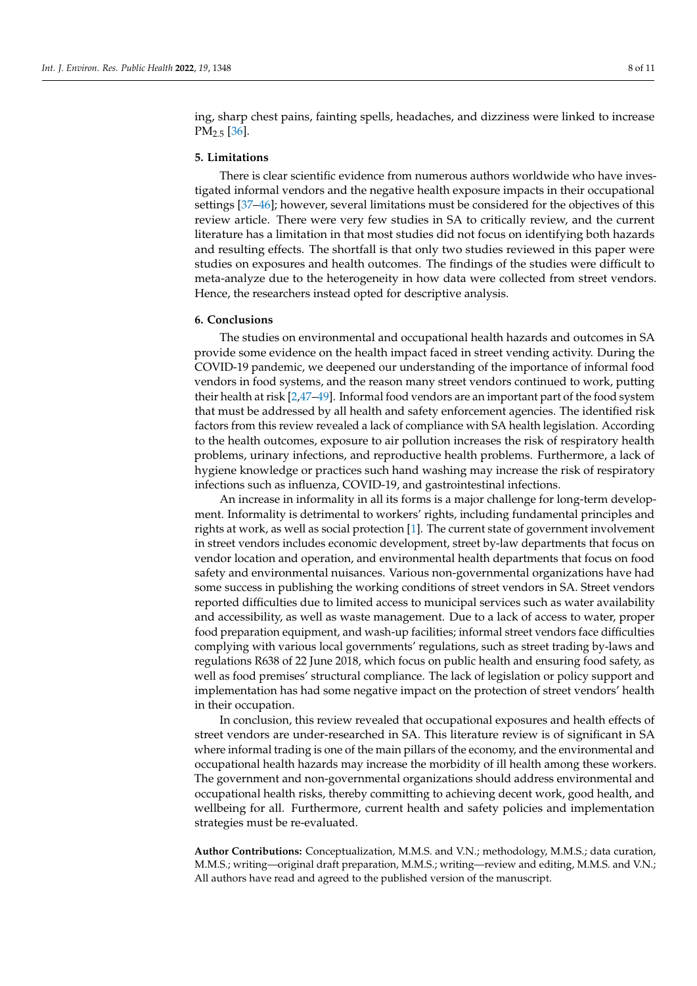ing, sharp chest pains, fainting spells, headaches, and dizziness were linked to increase  $PM<sub>2.5</sub>$  [\[36\]](#page-9-23).

## **5. Limitations**

There is clear scientific evidence from numerous authors worldwide who have investigated informal vendors and the negative health exposure impacts in their occupational settings [\[37](#page-9-24)[–46\]](#page-9-25); however, several limitations must be considered for the objectives of this review article. There were very few studies in SA to critically review, and the current literature has a limitation in that most studies did not focus on identifying both hazards and resulting effects. The shortfall is that only two studies reviewed in this paper were studies on exposures and health outcomes. The findings of the studies were difficult to meta-analyze due to the heterogeneity in how data were collected from street vendors. Hence, the researchers instead opted for descriptive analysis.

# **6. Conclusions**

The studies on environmental and occupational health hazards and outcomes in SA provide some evidence on the health impact faced in street vending activity. During the COVID-19 pandemic, we deepened our understanding of the importance of informal food vendors in food systems, and the reason many street vendors continued to work, putting their health at risk [\[2](#page-8-1)[,47](#page-10-0)[–49\]](#page-10-1). Informal food vendors are an important part of the food system that must be addressed by all health and safety enforcement agencies. The identified risk factors from this review revealed a lack of compliance with SA health legislation. According to the health outcomes, exposure to air pollution increases the risk of respiratory health problems, urinary infections, and reproductive health problems. Furthermore, a lack of hygiene knowledge or practices such hand washing may increase the risk of respiratory infections such as influenza, COVID-19, and gastrointestinal infections.

An increase in informality in all its forms is a major challenge for long-term development. Informality is detrimental to workers' rights, including fundamental principles and rights at work, as well as social protection [\[1\]](#page-8-0). The current state of government involvement in street vendors includes economic development, street by-law departments that focus on vendor location and operation, and environmental health departments that focus on food safety and environmental nuisances. Various non-governmental organizations have had some success in publishing the working conditions of street vendors in SA. Street vendors reported difficulties due to limited access to municipal services such as water availability and accessibility, as well as waste management. Due to a lack of access to water, proper food preparation equipment, and wash-up facilities; informal street vendors face difficulties complying with various local governments' regulations, such as street trading by-laws and regulations R638 of 22 June 2018, which focus on public health and ensuring food safety, as well as food premises' structural compliance. The lack of legislation or policy support and implementation has had some negative impact on the protection of street vendors' health in their occupation.

In conclusion, this review revealed that occupational exposures and health effects of street vendors are under-researched in SA. This literature review is of significant in SA where informal trading is one of the main pillars of the economy, and the environmental and occupational health hazards may increase the morbidity of ill health among these workers. The government and non-governmental organizations should address environmental and occupational health risks, thereby committing to achieving decent work, good health, and wellbeing for all. Furthermore, current health and safety policies and implementation strategies must be re-evaluated.

**Author Contributions:** Conceptualization, M.M.S. and V.N.; methodology, M.M.S.; data curation, M.M.S.; writing—original draft preparation, M.M.S.; writing—review and editing, M.M.S. and V.N.; All authors have read and agreed to the published version of the manuscript.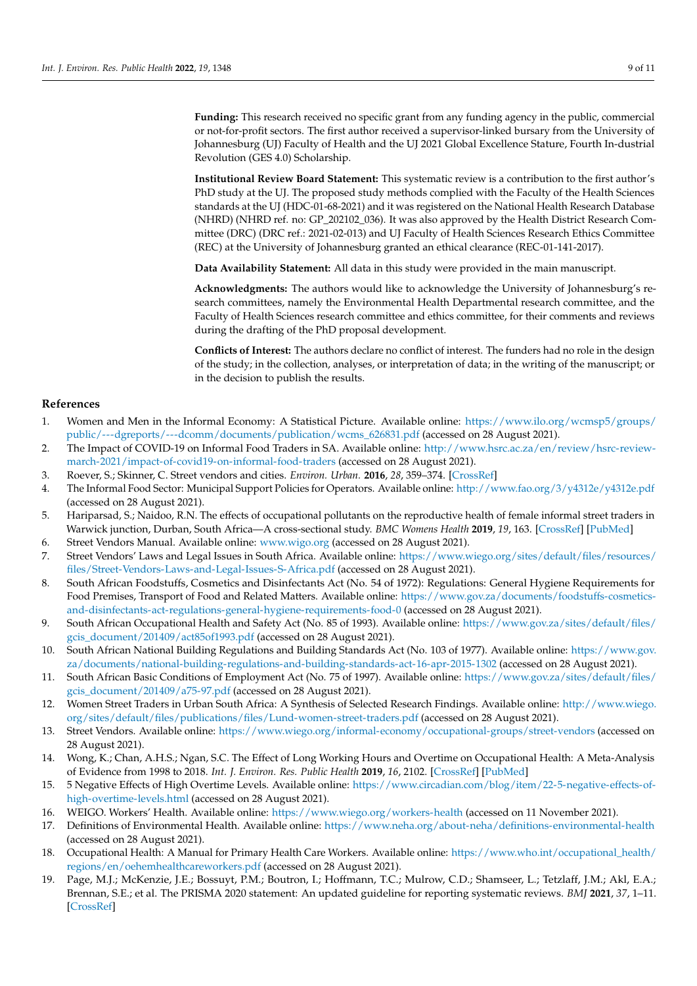**Funding:** This research received no specific grant from any funding agency in the public, commercial or not-for-profit sectors. The first author received a supervisor-linked bursary from the University of Johannesburg (UJ) Faculty of Health and the UJ 2021 Global Excellence Stature, Fourth In-dustrial Revolution (GES 4.0) Scholarship.

<span id="page-8-18"></span>**Institutional Review Board Statement:** This systematic review is a contribution to the first author's PhD study at the UJ. The proposed study methods complied with the Faculty of the Health Sciences standards at the UJ (HDC-01-68-2021) and it was registered on the National Health Research Database (NHRD) (NHRD ref. no: GP\_202102\_036). It was also approved by the Health District Research Committee (DRC) (DRC ref.: 2021-02-013) and UJ Faculty of Health Sciences Research Ethics Committee (REC) at the University of Johannesburg granted an ethical clearance (REC-01-141-2017).

**Data Availability Statement:** All data in this study were provided in the main manuscript.

**Acknowledgments:** The authors would like to acknowledge the University of Johannesburg's research committees, namely the Environmental Health Departmental research committee, and the Faculty of Health Sciences research committee and ethics committee, for their comments and reviews during the drafting of the PhD proposal development.

**Conflicts of Interest:** The authors declare no conflict of interest. The funders had no role in the design of the study; in the collection, analyses, or interpretation of data; in the writing of the manuscript; or in the decision to publish the results.

## **References**

- <span id="page-8-0"></span>1. Women and Men in the Informal Economy: A Statistical Picture. Available online: [https://www.ilo.org/wcmsp5/groups/](https://www.ilo.org/wcmsp5/groups/public/---dgreports/---dcomm/documents/publication/wcms_626831.pdf) [public/---dgreports/---dcomm/documents/publication/wcms\\_626831.pdf](https://www.ilo.org/wcmsp5/groups/public/---dgreports/---dcomm/documents/publication/wcms_626831.pdf) (accessed on 28 August 2021).
- <span id="page-8-1"></span>2. The Impact of COVID-19 on Informal Food Traders in SA. Available online: [http://www.hsrc.ac.za/en/review/hsrc-review](http://www.hsrc.ac.za/en/review/hsrc-review-march-2021/impact-of-covid19-on-informal-food-traders)[march-2021/impact-of-covid19-on-informal-food-traders](http://www.hsrc.ac.za/en/review/hsrc-review-march-2021/impact-of-covid19-on-informal-food-traders) (accessed on 28 August 2021).
- <span id="page-8-2"></span>3. Roever, S.; Skinner, C. Street vendors and cities. *Environ. Urban.* **2016**, *28*, 359–374. [\[CrossRef\]](http://doi.org/10.1177/0956247816653898)
- <span id="page-8-3"></span>4. The Informal Food Sector: Municipal Support Policies for Operators. Available online: <http://www.fao.org/3/y4312e/y4312e.pdf> (accessed on 28 August 2021).
- <span id="page-8-4"></span>5. Hariparsad, S.; Naidoo, R.N. The effects of occupational pollutants on the reproductive health of female informal street traders in Warwick junction, Durban, South Africa—A cross-sectional study. *BMC Womens Health* **2019**, *19*, 163. [\[CrossRef\]](http://doi.org/10.1186/s12905-019-0854-7) [\[PubMed\]](http://www.ncbi.nlm.nih.gov/pubmed/31852486)
- <span id="page-8-5"></span>6. Street Vendors Manual. Available online: <www.wigo.org> (accessed on 28 August 2021).
- <span id="page-8-6"></span>7. Street Vendors' Laws and Legal Issues in South Africa. Available online: [https://www.wiego.org/sites/default/files/resources/](https://www.wiego.org/sites/default/files/resources/files/Street-Vendors-Laws-and-Legal-Issues-S-Africa.pdf) [files/Street-Vendors-Laws-and-Legal-Issues-S-Africa.pdf](https://www.wiego.org/sites/default/files/resources/files/Street-Vendors-Laws-and-Legal-Issues-S-Africa.pdf) (accessed on 28 August 2021).
- <span id="page-8-7"></span>8. South African Foodstuffs, Cosmetics and Disinfectants Act (No. 54 of 1972): Regulations: General Hygiene Requirements for Food Premises, Transport of Food and Related Matters. Available online: [https://www.gov.za/documents/foodstuffs-cosmetics](https://www.gov.za/documents/foodstuffs-cosmetics-and-disinfectants-act-regulations-general-hygiene-requirements-food-0)[and-disinfectants-act-regulations-general-hygiene-requirements-food-0](https://www.gov.za/documents/foodstuffs-cosmetics-and-disinfectants-act-regulations-general-hygiene-requirements-food-0) (accessed on 28 August 2021).
- <span id="page-8-8"></span>9. South African Occupational Health and Safety Act (No. 85 of 1993). Available online: [https://www.gov.za/sites/default/files/](https://www.gov.za/sites/default/files/gcis_document/201409/act85of1993.pdf) [gcis\\_document/201409/act85of1993.pdf](https://www.gov.za/sites/default/files/gcis_document/201409/act85of1993.pdf) (accessed on 28 August 2021).
- <span id="page-8-9"></span>10. South African National Building Regulations and Building Standards Act (No. 103 of 1977). Available online: [https://www.gov.](https://www.gov.za/documents/national-building-regulations-and-building-standards-act-16-apr-2015-1302) [za/documents/national-building-regulations-and-building-standards-act-16-apr-2015-1302](https://www.gov.za/documents/national-building-regulations-and-building-standards-act-16-apr-2015-1302) (accessed on 28 August 2021).
- <span id="page-8-10"></span>11. South African Basic Conditions of Employment Act (No. 75 of 1997). Available online: [https://www.gov.za/sites/default/files/](https://www.gov.za/sites/default/files/gcis_document/201409/a75-97.pdf) [gcis\\_document/201409/a75-97.pdf](https://www.gov.za/sites/default/files/gcis_document/201409/a75-97.pdf) (accessed on 28 August 2021).
- <span id="page-8-11"></span>12. Women Street Traders in Urban South Africa: A Synthesis of Selected Research Findings. Available online: [http://www.wiego.](http://www.wiego.org/sites/default/files/publications/files/Lund-women-street-traders.pdf) [org/sites/default/files/publications/files/Lund-women-street-traders.pdf](http://www.wiego.org/sites/default/files/publications/files/Lund-women-street-traders.pdf) (accessed on 28 August 2021).
- <span id="page-8-12"></span>13. Street Vendors. Available online: <https://www.wiego.org/informal-economy/occupational-groups/street-vendors> (accessed on 28 August 2021).
- <span id="page-8-19"></span>14. Wong, K.; Chan, A.H.S.; Ngan, S.C. The Effect of Long Working Hours and Overtime on Occupational Health: A Meta-Analysis of Evidence from 1998 to 2018. *Int. J. Environ. Res. Public Health* **2019**, *16*, 2102. [\[CrossRef\]](http://doi.org/10.3390/ijerph16122102) [\[PubMed\]](http://www.ncbi.nlm.nih.gov/pubmed/31200573)
- <span id="page-8-13"></span>15. 5 Negative Effects of High Overtime Levels. Available online: [https://www.circadian.com/blog/item/22-5-negative-effects-of](https://www.circadian.com/blog/item/22-5-negative-effects-of-high-overtime-levels.html)[high-overtime-levels.html](https://www.circadian.com/blog/item/22-5-negative-effects-of-high-overtime-levels.html) (accessed on 28 August 2021).
- <span id="page-8-14"></span>16. WEIGO. Workers' Health. Available online: <https://www.wiego.org/workers-health> (accessed on 11 November 2021).
- <span id="page-8-15"></span>17. Definitions of Environmental Health. Available online: <https://www.neha.org/about-neha/definitions-environmental-health> (accessed on 28 August 2021).
- <span id="page-8-16"></span>18. Occupational Health: A Manual for Primary Health Care Workers. Available online: [https://www.who.int/occupational\\_health/](https://www.who.int/occupational_health/regions/en/oehemhealthcareworkers.pdf) [regions/en/oehemhealthcareworkers.pdf](https://www.who.int/occupational_health/regions/en/oehemhealthcareworkers.pdf) (accessed on 28 August 2021).
- <span id="page-8-17"></span>19. Page, M.J.; McKenzie, J.E.; Bossuyt, P.M.; Boutron, I.; Hoffmann, T.C.; Mulrow, C.D.; Shamseer, L.; Tetzlaff, J.M.; Akl, E.A.; Brennan, S.E.; et al. The PRISMA 2020 statement: An updated guideline for reporting systematic reviews. *BMJ* **2021**, *37*, 1–11. [\[CrossRef\]](http://doi.org/10.1136/bmj.n71)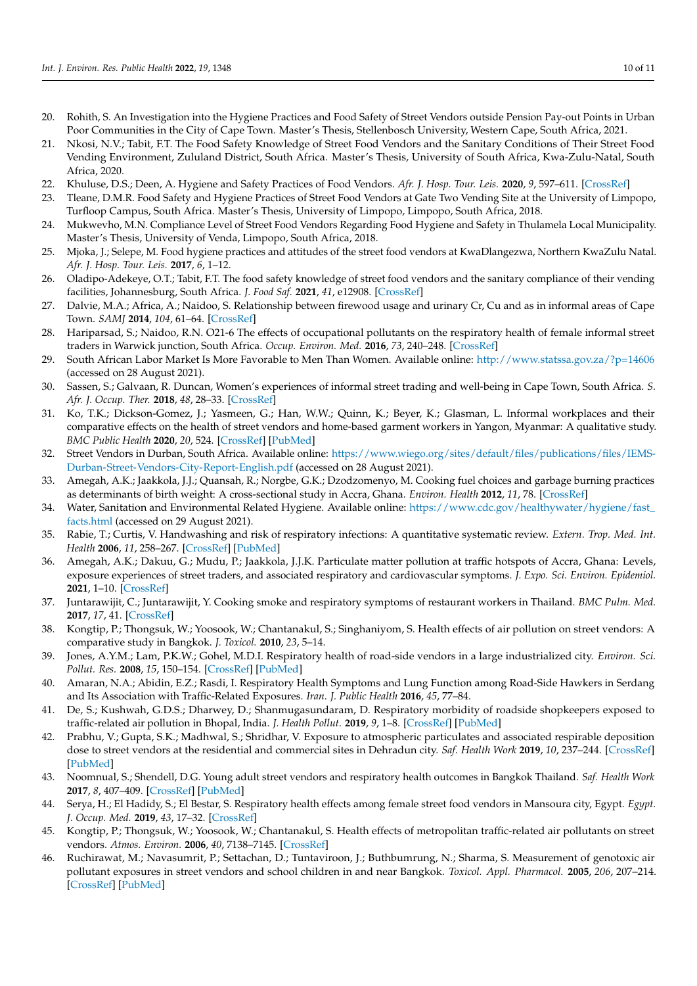- <span id="page-9-9"></span><span id="page-9-8"></span><span id="page-9-7"></span><span id="page-9-6"></span><span id="page-9-5"></span><span id="page-9-4"></span><span id="page-9-3"></span><span id="page-9-2"></span><span id="page-9-1"></span><span id="page-9-0"></span>20. Rohith, S. An Investigation into the Hygiene Practices and Food Safety of Street Vendors outside Pension Pay-out Points in Urban Poor Communities in the City of Cape Town. Master's Thesis, Stellenbosch University, Western Cape, South Africa, 2021.
- 21. Nkosi, N.V.; Tabit, F.T. The Food Safety Knowledge of Street Food Vendors and the Sanitary Conditions of Their Street Food Vending Environment, Zululand District, South Africa. Master's Thesis, University of South Africa, Kwa-Zulu-Natal, South Africa, 2020.
- 22. Khuluse, D.S.; Deen, A. Hygiene and Safety Practices of Food Vendors. *Afr. J. Hosp. Tour. Leis.* **2020**, *9*, 597–611. [\[CrossRef\]](http://doi.org/10.46222/ajhtl.19770720-39)
- <span id="page-9-18"></span>23. Tleane, D.M.R. Food Safety and Hygiene Practices of Street Food Vendors at Gate Two Vending Site at the University of Limpopo, Turfloop Campus, South Africa. Master's Thesis, University of Limpopo, Limpopo, South Africa, 2018.
- <span id="page-9-19"></span>24. Mukwevho, M.N. Compliance Level of Street Food Vendors Regarding Food Hygiene and Safety in Thulamela Local Municipality. Master's Thesis, University of Venda, Limpopo, South Africa, 2018.
- <span id="page-9-22"></span>25. Mjoka, J.; Selepe, M. Food hygiene practices and attitudes of the street food vendors at KwaDlangezwa, Northern KwaZulu Natal. *Afr. J. Hosp. Tour. Leis.* **2017**, *6*, 1–12.
- <span id="page-9-10"></span>26. Oladipo-Adekeye, O.T.; Tabit, F.T. The food safety knowledge of street food vendors and the sanitary compliance of their vending facilities, Johannesburg, South Africa. *J. Food Saf.* **2021**, *41*, e12908. [\[CrossRef\]](http://doi.org/10.1111/jfs.12908)
- <span id="page-9-12"></span>27. Dalvie, M.A.; Africa, A.; Naidoo, S. Relationship between firewood usage and urinary Cr, Cu and as in informal areas of Cape Town. *SAMJ* **2014**, *104*, 61–64. [\[CrossRef\]](http://doi.org/10.7196/samj.6451)
- <span id="page-9-11"></span>28. Hariparsad, S.; Naidoo, R.N. O21-6 The effects of occupational pollutants on the respiratory health of female informal street traders in Warwick junction, South Africa. *Occup. Environ. Med.* **2016**, *73*, 240–248. [\[CrossRef\]](http://doi.org/10.1136/oemed-2016-103951.111)
- <span id="page-9-13"></span>29. South African Labor Market Is More Favorable to Men Than Women. Available online: <http://www.statssa.gov.za/?p=14606> (accessed on 28 August 2021).
- <span id="page-9-14"></span>30. Sassen, S.; Galvaan, R. Duncan, Women's experiences of informal street trading and well-being in Cape Town, South Africa. *S. Afr. J. Occup. Ther.* **2018**, *48*, 28–33. [\[CrossRef\]](http://doi.org/10.17159/2310-3833/2017/vol48n1a6)
- <span id="page-9-15"></span>31. Ko, T.K.; Dickson-Gomez, J.; Yasmeen, G.; Han, W.W.; Quinn, K.; Beyer, K.; Glasman, L. Informal workplaces and their comparative effects on the health of street vendors and home-based garment workers in Yangon, Myanmar: A qualitative study. *BMC Public Health* **2020**, *20*, 524. [\[CrossRef\]](http://doi.org/10.1186/s12889-020-08624-6) [\[PubMed\]](http://www.ncbi.nlm.nih.gov/pubmed/32306950)
- <span id="page-9-16"></span>32. Street Vendors in Durban, South Africa. Available online: [https://www.wiego.org/sites/default/files/publications/files/IEMS-](https://www.wiego.org/sites/default/files/publications/files/IEMS-Durban-Street-Vendors-City-Report-English.pdf)[Durban-Street-Vendors-City-Report-English.pdf](https://www.wiego.org/sites/default/files/publications/files/IEMS-Durban-Street-Vendors-City-Report-English.pdf) (accessed on 28 August 2021).
- <span id="page-9-17"></span>33. Amegah, A.K.; Jaakkola, J.J.; Quansah, R.; Norgbe, G.K.; Dzodzomenyo, M. Cooking fuel choices and garbage burning practices as determinants of birth weight: A cross-sectional study in Accra, Ghana. *Environ. Health* **2012**, *11*, 78. [\[CrossRef\]](http://doi.org/10.1186/1476-069X-11-78)
- <span id="page-9-20"></span>34. Water, Sanitation and Environmental Related Hygiene. Available online: [https://www.cdc.gov/healthywater/hygiene/fast\\_](https://www.cdc.gov/healthywater/hygiene/fast_facts.html) [facts.html](https://www.cdc.gov/healthywater/hygiene/fast_facts.html) (accessed on 29 August 2021).
- <span id="page-9-21"></span>35. Rabie, T.; Curtis, V. Handwashing and risk of respiratory infections: A quantitative systematic review. *Extern. Trop. Med. Int. Health* **2006**, *11*, 258–267. [\[CrossRef\]](http://doi.org/10.1111/j.1365-3156.2006.01568.x) [\[PubMed\]](http://www.ncbi.nlm.nih.gov/pubmed/16553905)
- <span id="page-9-23"></span>36. Amegah, A.K.; Dakuu, G.; Mudu, P.; Jaakkola, J.J.K. Particulate matter pollution at traffic hotspots of Accra, Ghana: Levels, exposure experiences of street traders, and associated respiratory and cardiovascular symptoms. *J. Expo. Sci. Environ. Epidemiol.* **2021**, 1–10. [\[CrossRef\]](http://doi.org/10.1038/s41370-021-00357-x)
- <span id="page-9-24"></span>37. Juntarawijit, C.; Juntarawijit, Y. Cooking smoke and respiratory symptoms of restaurant workers in Thailand. *BMC Pulm. Med.* **2017**, *17*, 41. [\[CrossRef\]](http://doi.org/10.1186/s12890-017-0385-7)
- 38. Kongtip, P.; Thongsuk, W.; Yoosook, W.; Chantanakul, S.; Singhaniyom, S. Health effects of air pollution on street vendors: A comparative study in Bangkok. *J. Toxicol.* **2010**, *23*, 5–14.
- 39. Jones, A.Y.M.; Lam, P.K.W.; Gohel, M.D.I. Respiratory health of road-side vendors in a large industrialized city. *Environ. Sci. Pollut. Res.* **2008**, *15*, 150–154. [\[CrossRef\]](http://doi.org/10.1065/espr2006.12.368) [\[PubMed\]](http://www.ncbi.nlm.nih.gov/pubmed/18380234)
- 40. Amaran, N.A.; Abidin, E.Z.; Rasdi, I. Respiratory Health Symptoms and Lung Function among Road-Side Hawkers in Serdang and Its Association with Traffic-Related Exposures. *Iran. J. Public Health* **2016**, *45*, 77–84.
- 41. De, S.; Kushwah, G.D.S.; Dharwey, D.; Shanmugasundaram, D. Respiratory morbidity of roadside shopkeepers exposed to traffic-related air pollution in Bhopal, India. *J. Health Pollut.* **2019**, *9*, 1–8. [\[CrossRef\]](http://doi.org/10.5696/2156-9614-9.21.190305) [\[PubMed\]](http://www.ncbi.nlm.nih.gov/pubmed/30931165)
- 42. Prabhu, V.; Gupta, S.K.; Madhwal, S.; Shridhar, V. Exposure to atmospheric particulates and associated respirable deposition dose to street vendors at the residential and commercial sites in Dehradun city. *Saf. Health Work* **2019**, *10*, 237–244. [\[CrossRef\]](http://doi.org/10.1016/j.shaw.2019.01.005) [\[PubMed\]](http://www.ncbi.nlm.nih.gov/pubmed/31297288)
- 43. Noomnual, S.; Shendell, D.G. Young adult street vendors and respiratory health outcomes in Bangkok Thailand. *Saf. Health Work* **2017**, *8*, 407–409. [\[CrossRef\]](http://doi.org/10.1016/j.shaw.2017.02.002) [\[PubMed\]](http://www.ncbi.nlm.nih.gov/pubmed/29276642)
- 44. Serya, H.; El Hadidy, S.; El Bestar, S. Respiratory health effects among female street food vendors in Mansoura city, Egypt. *Egypt. J. Occup. Med.* **2019**, *43*, 17–32. [\[CrossRef\]](http://doi.org/10.21608/EJOM.2019.25104)
- 45. Kongtip, P.; Thongsuk, W.; Yoosook, W.; Chantanakul, S. Health effects of metropolitan traffic-related air pollutants on street vendors. *Atmos. Environ.* **2006**, *40*, 7138–7145. [\[CrossRef\]](http://doi.org/10.1016/j.atmosenv.2006.06.025)
- <span id="page-9-25"></span>46. Ruchirawat, M.; Navasumrit, P.; Settachan, D.; Tuntaviroon, J.; Buthbumrung, N.; Sharma, S. Measurement of genotoxic air pollutant exposures in street vendors and school children in and near Bangkok. *Toxicol. Appl. Pharmacol.* **2005**, *206*, 207–214. [\[CrossRef\]](http://doi.org/10.1016/j.taap.2004.11.025) [\[PubMed\]](http://www.ncbi.nlm.nih.gov/pubmed/15967210)